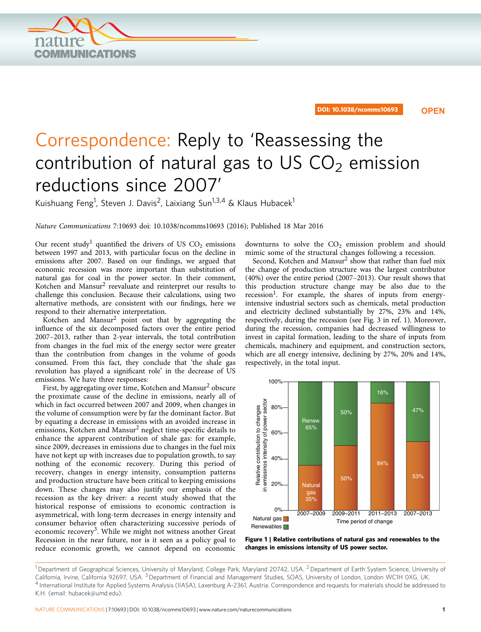<span id="page-0-0"></span>

DOI: 10.1038/ncomms10693 **OPEN**

## Correspondence: Reply to 'Reassessing the contribution of natural gas to US  $CO<sub>2</sub>$  emission reductions since 2007'

Kuishuang Feng<sup>1</sup>, Steven J. Davis<sup>2</sup>, Laixiang Sun<sup>1,3,4</sup> & Klaus Hubacek<sup>1</sup>

Nature Communications 7:10693 doi: 10.1038/ncomms10693 (2016); Published 18 Mar 2016

Our recent study<sup>[1](#page-1-0)</sup> quantified the drivers of US  $CO<sub>2</sub>$  emissions between 1997 and 2013, with particular focus on the decline in emissions after 2007. Based on our findings, we argued that economic recession was more important than substitution of natural gas for coal in the power sector. In their comment, Kotchen and Mansur[2](#page-1-0) reevaluate and reinterpret our results to challenge this conclusion. Because their calculations, using two alternative methods, are consistent with our findings, here we respond to their alternative interpretation.

Kotchen and Mansu[r2](#page-1-0) point out that by aggregating the influence of the six decomposed factors over the entire period 2007–2013, rather than 2-year intervals, the total contribution from changes in the fuel mix of the energy sector were greater than the contribution from changes in the volume of goods consumed. From this fact, they conclude that 'the shale gas revolution has played a significant role' in the decrease of US emissions. We have three responses:

First, by aggregating over time, Kotchen and Mansur<sup>[2](#page-1-0)</sup> obscure the proximate cause of the decline in emissions, nearly all of which in fact occurred between 2007 and 2009, when changes in the volume of consumption were by far the dominant factor. But by equating a decrease in emissions with an avoided increase in emissions, Kotchen and Mansur[2](#page-1-0) neglect time-specific details to enhance the apparent contribution of shale gas: for example, since 2009, decreases in emissions due to changes in the fuel mix have not kept up with increases due to population growth, to say nothing of the economic recovery. During this period of recovery, changes in energy intensity, consumption patterns and production structure have been critical to keeping emissions down. These changes may also justify our emphasis of the recession as the key driver: a recent study showed that the historical response of emissions to economic contraction is asymmetrical, with long-term decreases in energy intensity and consumer behavior often characterizing successive periods of economic recovery<sup>[3](#page-1-0)</sup>. While we might not witness another Great Recession in the near future, nor is it seen as a policy goal to reduce economic growth, we cannot depend on economic

downturns to solve the  $CO<sub>2</sub>$  emission problem and should mimic some of the structural changes following a recession.

Second, Kotchen and Mansur<sup>[2](#page-1-0)</sup> show that rather than fuel mix the change of production structure was the largest contributor (40%) over the entire period (2007–2013). Our result shows that this production structure change may be also due to the recession<sup>1</sup>. For example, the shares of inputs from energyintensive industrial sectors such as chemicals, metal production and electricity declined substantially by 27%, 23% and 14%, respectively, during the recession (see Fig. 3 in [ref. 1](#page-1-0)). Moreover, during the recession, companies had decreased willingness to invest in capital formation, leading to the share of inputs from chemicals, machinery and equipment, and construction sectors, which are all energy intensive, declining by 27%, 20% and 14%, respectively, in the total input.



Figure 1 | Relative contributions of natural gas and renewables to the changes in emissions intensity of US power sector.

<sup>&</sup>lt;sup>1</sup> Department of Geographical Sciences, University of Maryland, College Park, Maryland 20742, USA. <sup>2</sup> Department of Earth System Science, University of California, Irvine, California 92697, USA. <sup>3</sup> Department of Financial and Management Studies, SOAS, University of London, London WC1H 0XG, UK. <sup>4</sup> International Institute for Applied Systems Analysis (IIASA), Laxenburg A-2361, Austria. Correspondence and requests for materials should be addressed to K.H. (email: [hubacek@umd.edu\)](mailto:hubacek@umd.edu).